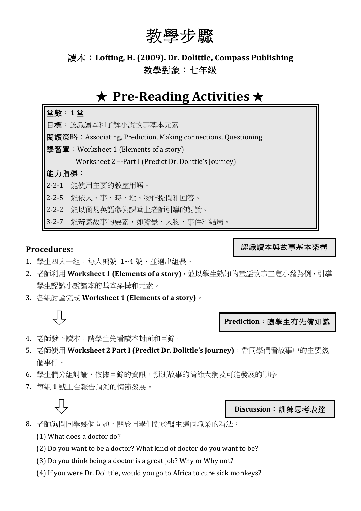# 教學步驟

# 讀本: Lofting, H. (2009). Dr. Dolittle, Compass Publishing 教學對象:七年級

# ★ **Pre-Reading Activities** ★



## **Procedures:**

認識讀本與故事基本架構

- 1. 學生四人一組,每人編號 1~4號,並選出組長。
- 2. 老師利用 Worksheet 1 (Elements of a story),並以學生熟知的童話故事三隻小豬為例,引導 學生認識小說讀本的基本架構和元素。
- 3. 各組討論完成 Worksheet 1 (Elements of a story)。

**Prediction**:讓學生有先備知識

- 4. 老師發下讀本,請學生先看讀本封面和目錄。
- 5. 老師使用 Worksheet 2 Part I (Predict Dr. Dolittle's Journey), 帶同學們看故事中的主要幾 個事件。
- 6. 學生們分組討論,依據目錄的資訊,預測故事的情節大綱及可能發展的順序。
- 7. 每組 1 號上台報告預測的情節發展。

**Discussion**:訓練思考表達

8. 老師詢問同學幾個問題,關於同學們對於醫生這個職業的看法:

- (1) What does a doctor do?
- (2) Do you want to be a doctor? What kind of doctor do you want to be?
- (3) Do you think being a doctor is a great job? Why or Why not?
- (4) If you were Dr. Dolittle, would you go to Africa to cure sick monkeys?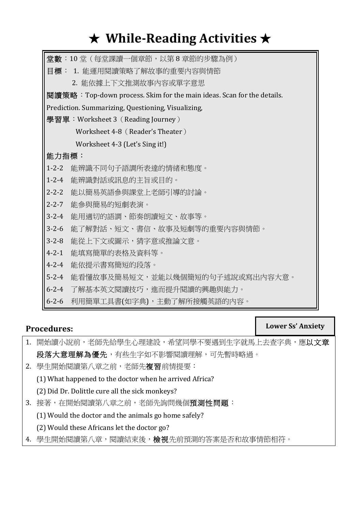# ★ **While-Reading Activities** ★

|                                                                        | 堂數:10 堂(每堂課讀一個章節,以第 8 章節的步驟為例)  |  |
|------------------------------------------------------------------------|---------------------------------|--|
|                                                                        | 目標: 1. 能運用閱讀策略了解故事的重要内容與情節      |  |
|                                                                        | 2. 能依據上下文推測故事內容或單字意思            |  |
| 閱讀策略: Top-down process. Skim for the main ideas. Scan for the details. |                                 |  |
| Prediction. Summarizing, Questioning, Visualizing,                     |                                 |  |
| 學習單:Worksheet 3 (Reading Journey)                                      |                                 |  |
| Worksheet 4-8 (Reader's Theater)                                       |                                 |  |
|                                                                        | Worksheet 4-3 (Let's Sing it!)  |  |
| 能力指標:                                                                  |                                 |  |
| $1 - 2 - 2$                                                            | 能辨識不同句子語調所表達的情緒和熊度。             |  |
| $1 - 2 - 4$                                                            | 能辨識對話或訊息的主旨或目的。                 |  |
| $2 - 2 - 2$                                                            | 能以簡易英語參與課堂上老師引導的討論。             |  |
| $2 - 2 - 7$                                                            | 能參與簡易的短劇表演。                     |  |
| $3 - 2 - 4$                                                            | 能用適切的語調、節奏朗讀短文、故事等。             |  |
| $3 - 2 - 6$                                                            | 能了解對話、短文、書信、故事及短劇等的重要内容與情節。     |  |
| $3 - 2 - 8$                                                            | 能從上下文或圖示,猜字意或推論文意。              |  |
| $4 - 2 - 1$                                                            | 能填寫簡單的表格及資料等。                   |  |
| $4 - 2 - 4$                                                            | 能依提示書寫簡短的段落。                    |  |
| $5 - 2 - 4$                                                            | 能看懂故事及簡易短文,並能以幾個簡短的句子述說或寫出內容大意。 |  |
| $6 - 2 - 4$                                                            | 了解基本英文閱讀技巧,進而提升閱讀的興趣與能力。        |  |
| $6 - 2 - 6$                                                            | 利用簡單工具書(如字典),主動了解所接觸英語的內容。      |  |

## **Procedures:**

## **Lower Ss' Anxiety**

- 1. 開始讀小說前,老師先給學生心理建設,希望同學不要遇到生字就馬上去查字典,應以文章 段落大意理解為優先,有些生字如不影響閱讀理解,可先暫時略過。
- 2. 學生開始閱讀第八章之前,老師先複習前情提要:
	- (1) What happened to the doctor when he arrived Africa?
	- (2) Did Dr. Dolittle cure all the sick monkeys?
- 3. 接著,在開始閱讀第八章之前,老師先詢問幾個預測性問題:
	- $(1)$  Would the doctor and the animals go home safely?
	- (2) Would these Africans let the doctor go?
- 4. 學生開始閱讀第八章,閱讀結束後,檢視先前預測的答案是否和故事情節相符。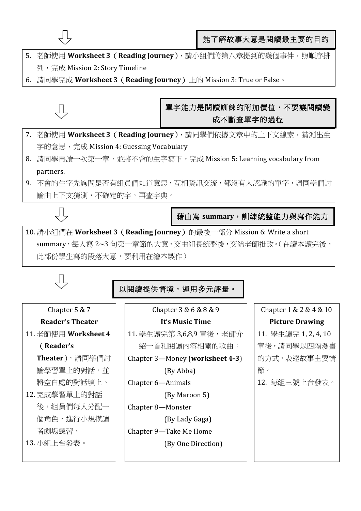

- 5. 老師使用 Worksheet 3 (Reading Journey), 請小組們將第八章提到的幾個事件,照順序排 列, 完成 Mission 2: Story Timeline
- 6. 請同學完成 Worksheet 3 (Reading Journey) 上的 Mission 3: True or False。



## 單字能力是閱讀訓練的附加價值,不要讓閱讀變 成不斷查單字的過程

- 7. 老師使用 **Worksheet 3**(**Reading Journey**),請同學們依據文章中的上下文線索,猜測出生 字的意思,完成 Mission 4: Guessing Vocabulary
- 8. 請同學再讀一次第一章,並將不會的生字寫下,完成 Mission 5: Learning vocabulary from partners.
- 9. 不會的生字先詢問是否有組員們知道意思,互相資訊交流,都沒有人認識的單字,請同學們討 論由上下文猜測,不確定的字,再查字典。



藉由寫 **summary**,訓練統整能力與寫作能力

10. 請小組們在 Worksheet 3 (Reading Journey) 的最後一部分 Mission 6: Write a short summary,每人寫 2~3 句第一章節的大意,交由組長統整後,交給老師批改。(在讀本讀完後, 此部份學生寫的段落大意,要利用在繪本製作)

## 以閱讀提供情境,運用多元評量。

# Chapter 5 & 7

#### **Reader's Theater**

11. 老師使用 **Worksheet 4** 

## (**Reader's**

- **Theater**),請同學們討 論學習單上的對話,並 將空白處的對話填上。 12. 完成學習單上的對話
	- 後,組員們每人分配一 個角色,進行小規模讀 者劇場練習。
- 13. 小組上台發表。

Chapter 3 & 6 & 8 & 9

## **It's Music Time**

- 11. 學生讀完第 3,6,8,9 章後,老師介 紹一首和閱讀內容相關的歌曲:
- Chapter 3-Money (worksheet 4-3) (By Abba)
- Chapter 6-Animals

(By Maroon 5)

Chapter 8—Monster

 (By Lady Gaga)

Chapter 9-Take Me Home (By One Direction)

## Chapter 1 & 2 & 4 & 10 **Picture Drawing**

11. 學生讀完 1, 2, 4, 10 章後,請同學以四隔漫畫 的方式,表達故事主要情 節。

12. 每組三號上台發表。